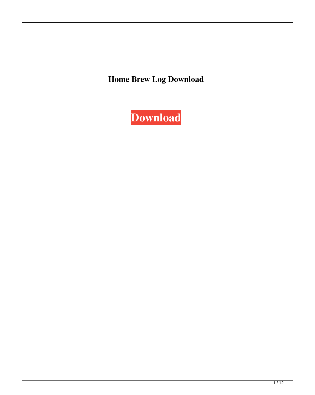**Home Brew Log Download**

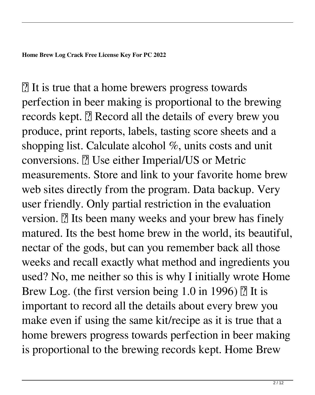■ It is true that a home brewers progress towards perfection in beer making is proportional to the brewing records kept.  $\boxed{?}$  Record all the details of every brew you produce, print reports, labels, tasting score sheets and a shopping list. Calculate alcohol %, units costs and unit conversions. **D** Use either Imperial/US or Metric measurements. Store and link to your favorite home brew web sites directly from the program. Data backup. Very user friendly. Only partial restriction in the evaluation version.  $\mathbb{R}$  Its been many weeks and your brew has finely matured. Its the best home brew in the world, its beautiful, nectar of the gods, but can you remember back all those weeks and recall exactly what method and ingredients you used? No, me neither so this is why I initially wrote Home Brew Log. (the first version being 1.0 in 1996)  $\boxed{?}$  It is important to record all the details about every brew you make even if using the same kit/recipe as it is true that a home brewers progress towards perfection in beer making is proportional to the brewing records kept. Home Brew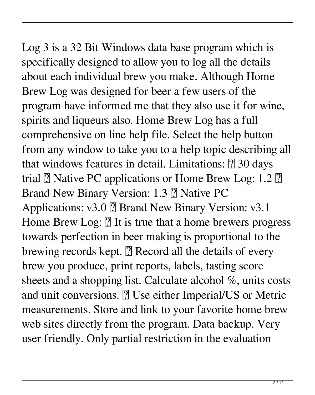Log 3 is a 32 Bit Windows data base program which is specifically designed to allow you to log all the details about each individual brew you make. Although Home Brew Log was designed for beer a few users of the program have informed me that they also use it for wine, spirits and liqueurs also. Home Brew Log has a full comprehensive on line help file. Select the help button from any window to take you to a help topic describing all that windows features in detail. Limitations:  $[$ ] 30 days trial  $\overline{?}$  Native PC applications or Home Brew Log: 1.2  $\overline{?}$ Brand New Binary Version: 1.3 2 Native PC Applications: v3.0 ? Brand New Binary Version: v3.1 Home Brew Log:  $[$ ] It is true that a home brewers progress towards perfection in beer making is proportional to the brewing records kept.  $[$ ] Record all the details of every brew you produce, print reports, labels, tasting score sheets and a shopping list. Calculate alcohol %, units costs and unit conversions. **7** Use either Imperial/US or Metric measurements. Store and link to your favorite home brew web sites directly from the program. Data backup. Very user friendly. Only partial restriction in the evaluation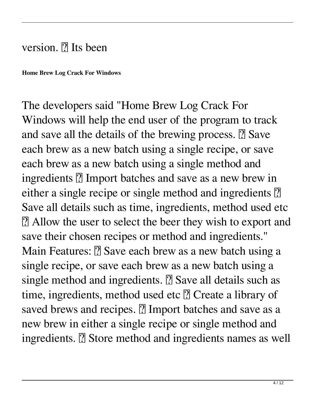## version.  $\mathbb{R}$  Its been

**Home Brew Log Crack For Windows**

The developers said "Home Brew Log Crack For Windows will help the end user of the program to track and save all the details of the brewing process.  $\mathbb{Z}$  Save each brew as a new batch using a single recipe, or save each brew as a new batch using a single method and ingredients **?** Import batches and save as a new brew in either a single recipe or single method and ingredients <sup>[7]</sup> Save all details such as time, ingredients, method used etc ■ Allow the user to select the beer they wish to export and save their chosen recipes or method and ingredients." Main Features: **2** Save each brew as a new batch using a single recipe, or save each brew as a new batch using a single method and ingredients.  $\Omega$  Save all details such as time, ingredients, method used etc  $@$  Create a library of saved brews and recipes. **7** Import batches and save as a new brew in either a single recipe or single method and ingredients. **7** Store method and ingredients names as well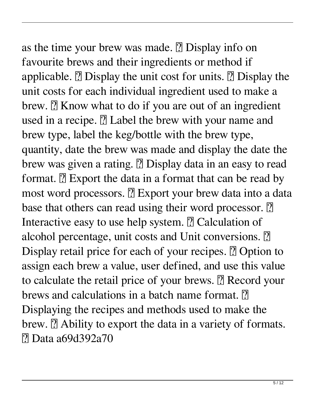## as the time your brew was made.  $\Omega$  Display info on

favourite brews and their ingredients or method if applicable.  $\boxed{?}$  Display the unit cost for units.  $\boxed{?}$  Display the unit costs for each individual ingredient used to make a brew.  $\mathbb{R}$  Know what to do if you are out of an ingredient used in a recipe.  $\boxed{?}$  Label the brew with your name and brew type, label the keg/bottle with the brew type, quantity, date the brew was made and display the date the brew was given a rating. **D** Display data in an easy to read format.  $\mathbb{R}$  Export the data in a format that can be read by most word processors. **P** Export your brew data into a data base that others can read using their word processor.  $[$ Interactive easy to use help system. **7** Calculation of alcohol percentage, unit costs and Unit conversions. <sup>[7]</sup> Display retail price for each of your recipes. **Depe** Option to assign each brew a value, user defined, and use this value to calculate the retail price of your brews. **a** Record your brews and calculations in a batch name format.  $\mathbb{R}$ Displaying the recipes and methods used to make the brew.  $\mathbb{R}$  Ability to export the data in a variety of formats. ■ Data a69d392a70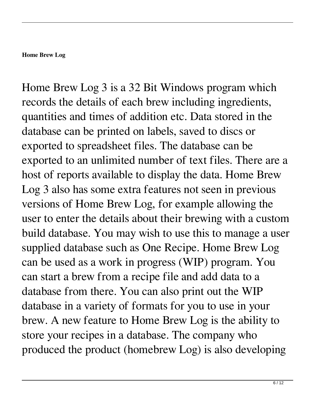## **Home Brew Log**

Home Brew Log 3 is a 32 Bit Windows program which records the details of each brew including ingredients, quantities and times of addition etc. Data stored in the database can be printed on labels, saved to discs or exported to spreadsheet files. The database can be exported to an unlimited number of text files. There are a host of reports available to display the data. Home Brew Log 3 also has some extra features not seen in previous versions of Home Brew Log, for example allowing the user to enter the details about their brewing with a custom build database. You may wish to use this to manage a user supplied database such as One Recipe. Home Brew Log can be used as a work in progress (WIP) program. You can start a brew from a recipe file and add data to a database from there. You can also print out the WIP database in a variety of formats for you to use in your brew. A new feature to Home Brew Log is the ability to store your recipes in a database. The company who produced the product (homebrew Log) is also developing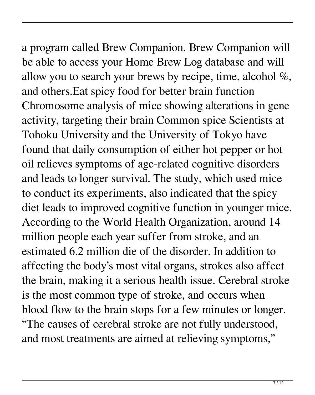a program called Brew Companion. Brew Companion will

be able to access your Home Brew Log database and will allow you to search your brews by recipe, time, alcohol %, and others.Eat spicy food for better brain function Chromosome analysis of mice showing alterations in gene activity, targeting their brain Common spice Scientists at Tohoku University and the University of Tokyo have found that daily consumption of either hot pepper or hot oil relieves symptoms of age-related cognitive disorders and leads to longer survival. The study, which used mice to conduct its experiments, also indicated that the spicy diet leads to improved cognitive function in younger mice. According to the World Health Organization, around 14 million people each year suffer from stroke, and an estimated 6.2 million die of the disorder. In addition to affecting the body's most vital organs, strokes also affect the brain, making it a serious health issue. Cerebral stroke is the most common type of stroke, and occurs when blood flow to the brain stops for a few minutes or longer. "The causes of cerebral stroke are not fully understood, and most treatments are aimed at relieving symptoms,"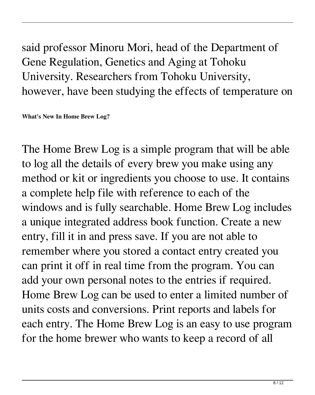said professor Minoru Mori, head of the Department of Gene Regulation, Genetics and Aging at Tohoku University. Researchers from Tohoku University, however, have been studying the effects of temperature on

**What's New In Home Brew Log?**

The Home Brew Log is a simple program that will be able to log all the details of every brew you make using any method or kit or ingredients you choose to use. It contains a complete help file with reference to each of the windows and is fully searchable. Home Brew Log includes a unique integrated address book function. Create a new entry, fill it in and press save. If you are not able to remember where you stored a contact entry created you can print it off in real time from the program. You can add your own personal notes to the entries if required. Home Brew Log can be used to enter a limited number of units costs and conversions. Print reports and labels for each entry. The Home Brew Log is an easy to use program for the home brewer who wants to keep a record of all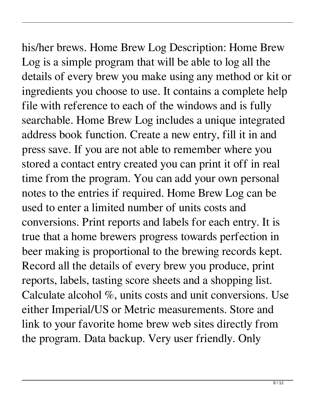his/her brews. Home Brew Log Description: Home Brew Log is a simple program that will be able to log all the details of every brew you make using any method or kit or ingredients you choose to use. It contains a complete help file with reference to each of the windows and is fully searchable. Home Brew Log includes a unique integrated address book function. Create a new entry, fill it in and press save. If you are not able to remember where you stored a contact entry created you can print it off in real time from the program. You can add your own personal notes to the entries if required. Home Brew Log can be used to enter a limited number of units costs and conversions. Print reports and labels for each entry. It is true that a home brewers progress towards perfection in beer making is proportional to the brewing records kept. Record all the details of every brew you produce, print reports, labels, tasting score sheets and a shopping list. Calculate alcohol %, units costs and unit conversions. Use either Imperial/US or Metric measurements. Store and link to your favorite home brew web sites directly from the program. Data backup. Very user friendly. Only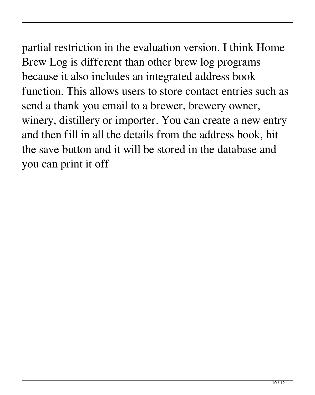partial restriction in the evaluation version. I think Home Brew Log is different than other brew log programs because it also includes an integrated address book function. This allows users to store contact entries such as send a thank you email to a brewer, brewery owner, winery, distillery or importer. You can create a new entry and then fill in all the details from the address book, hit the save button and it will be stored in the database and you can print it off